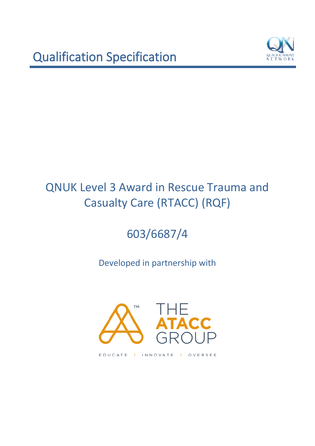

# 603/6687/4

Developed in partnership with

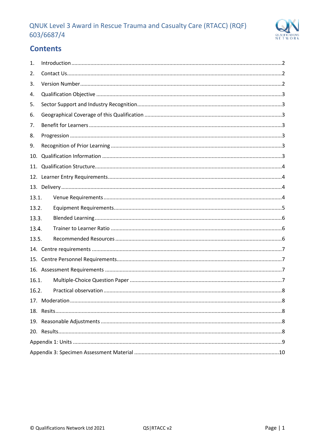

# **Contents**

| 1.    |  |  |  |  |  |
|-------|--|--|--|--|--|
| 2.    |  |  |  |  |  |
| 3.    |  |  |  |  |  |
| 4.    |  |  |  |  |  |
| 5.    |  |  |  |  |  |
| 6.    |  |  |  |  |  |
| 7.    |  |  |  |  |  |
| 8.    |  |  |  |  |  |
| 9.    |  |  |  |  |  |
| 10.   |  |  |  |  |  |
| 11.   |  |  |  |  |  |
|       |  |  |  |  |  |
|       |  |  |  |  |  |
| 13.1. |  |  |  |  |  |
| 13.2. |  |  |  |  |  |
| 13.3. |  |  |  |  |  |
| 13.4. |  |  |  |  |  |
| 13.5. |  |  |  |  |  |
|       |  |  |  |  |  |
|       |  |  |  |  |  |
|       |  |  |  |  |  |
| 16.1. |  |  |  |  |  |
| 16.2. |  |  |  |  |  |
|       |  |  |  |  |  |
|       |  |  |  |  |  |
|       |  |  |  |  |  |
|       |  |  |  |  |  |
|       |  |  |  |  |  |
|       |  |  |  |  |  |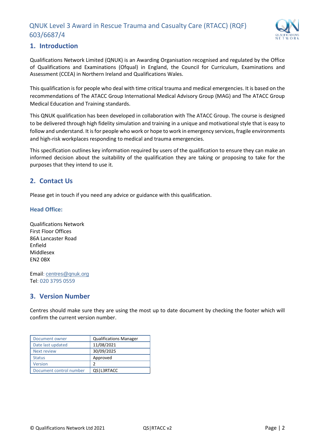

# <span id="page-2-0"></span>**1. Introduction**

Qualifications Network Limited (QNUK) is an Awarding Organisation recognised and regulated by the Office of Qualifications and Examinations (Ofqual) in England, the Council for Curriculum, Examinations and Assessment (CCEA) in Northern Ireland and Qualifications Wales.

This qualification is for people who deal with time critical trauma and medical emergencies. It is based on the recommendations of The ATACC Group International Medical Advisory Group (MAG) and The ATACC Group Medical Education and Training standards.

This QNUK qualification has been developed in collaboration with The ATACC Group. The course is designed to be delivered through high fidelity simulation and training in a unique and motivational style that is easy to follow and understand. It is for people who work or hope to work in emergency services, fragile environments and high-risk workplaces responding to medical and trauma emergencies.

This specification outlines key information required by users of the qualification to ensure they can make an informed decision about the suitability of the qualification they are taking or proposing to take for the purposes that they intend to use it.

# <span id="page-2-1"></span>**2. Contact Us**

Please get in touch if you need any advice or guidance with this qualification.

#### **Head Office:**

Qualifications Network First Floor Offices 86A Lancaster Road Enfield Middlesex EN2 0BX

Email: [centres@qnuk.org](mailto:CentreSupport@Qualifications-Network.co.uk) Tel: 020 3795 0559

# <span id="page-2-2"></span>**3. Version Number**

Centres should make sure they are using the most up to date document by checking the footer which will confirm the current version number.

| Document owner          | <b>Qualifications Manager</b> |
|-------------------------|-------------------------------|
| Date last updated       | 11/08/2021                    |
| Next review             | 30/09/2025                    |
| <b>Status</b>           | Approved                      |
| Version                 |                               |
| Document control number | QS   L3RTACC                  |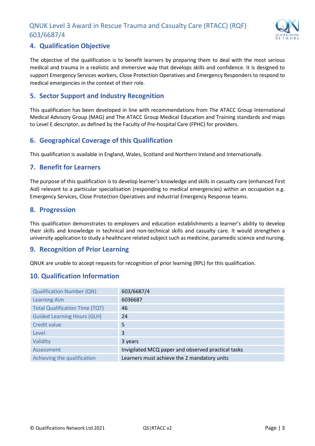

# <span id="page-3-0"></span>**4. Qualification Objective**

The objective of the qualification is to benefit learners by preparing them to deal with the most serious medical and trauma in a realistic and immersive way that develops skills and confidence. It is designed to support Emergency Services workers, Close Protection Operatives and Emergency Responders to respond to medical emergencies in the context of their role.

## <span id="page-3-1"></span>**5. Sector Support and Industry Recognition**

This qualification has been developed in line with recommendations from The ATACC Group International Medical Advisory Group (MAG) and The ATACC Group Medical Education and Training standards and maps to Level E descriptor, as defined by the Faculty of Pre-hospital Care (FPHC) for providers.

# <span id="page-3-2"></span>**6. Geographical Coverage of this Qualification**

This qualification is available in England, Wales, Scotland and Northern Ireland and Internationally.

#### <span id="page-3-3"></span>**7. Benefit for Learners**

The purpose of this qualification is to develop learner's knowledge and skills in casualty care (enhanced First Aid) relevant to a particular specialisation (responding to medical emergencies) within an occupation e.g. Emergency Services, Close Protection Operatives and industrial Emergency Response teams.

## <span id="page-3-4"></span>**8. Progression**

This qualification demonstrates to employers and education establishments a learner's ability to develop their skills and knowledge in technical and non-technical skills and casualty care. It would strengthen a university application to study a healthcare related subject such as medicine, paramedic science and nursing.

# <span id="page-3-5"></span>**9. Recognition of Prior Learning**

QNUK are unable to accept requests for recognition of prior learning (RPL) for this qualification.

# <span id="page-3-6"></span>**10. Qualification Information**

| <b>Qualification Number (QN)</b>      | 603/6687/4                                         |
|---------------------------------------|----------------------------------------------------|
| <b>Learning Aim</b>                   | 6036687                                            |
| <b>Total Qualification Time (TQT)</b> | 46                                                 |
| <b>Guided Learning Hours (GLH)</b>    | 24                                                 |
| <b>Credit value</b>                   | 5                                                  |
| Level                                 | 3                                                  |
| Validity                              | 3 years                                            |
| Assessment                            | Invigilated MCQ paper and observed practical tasks |
| Achieving the qualification           | Learners must achieve the 2 mandatory units        |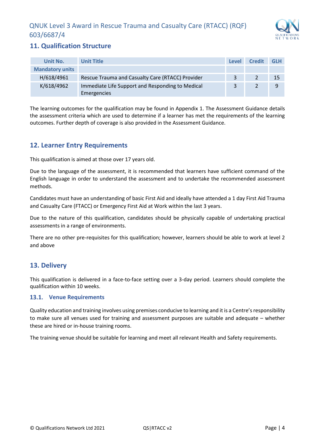

# <span id="page-4-0"></span>**11. Qualification Structure**

| Unit No.               | <b>Unit Title</b>                                | <b>Level</b> | <b>Credit</b> | <b>GLH</b> |
|------------------------|--------------------------------------------------|--------------|---------------|------------|
| <b>Mandatory units</b> |                                                  |              |               |            |
| H/618/4961             | Rescue Trauma and Casualty Care (RTACC) Provider | 3            |               | -15        |
| K/618/4962             | Immediate Life Support and Responding to Medical | 3            |               | 9          |
|                        | Emergencies                                      |              |               |            |

The learning outcomes for the qualification may be found in Appendix 1. The Assessment Guidance details the assessment criteria which are used to determine if a learner has met the requirements of the learning outcomes. Further depth of coverage is also provided in the Assessment Guidance.

# <span id="page-4-1"></span>**12. Learner Entry Requirements**

This qualification is aimed at those over 17 years old.

Due to the language of the assessment, it is recommended that learners have sufficient command of the English language in order to understand the assessment and to undertake the recommended assessment methods.

Candidates must have an understanding of basic First Aid and ideally have attended a 1 day First Aid Trauma and Casualty Care (FTACC) or Emergency First Aid at Work within the last 3 years.

Due to the nature of this qualification, candidates should be physically capable of undertaking practical assessments in a range of environments.

There are no other pre-requisites for this qualification; however, learners should be able to work at level 2 and above

# <span id="page-4-2"></span>**13. Delivery**

This qualification is delivered in a face-to-face setting over a 3-day period. Learners should complete the qualification within 10 weeks.

#### <span id="page-4-3"></span>**Venue Requirements**

Quality education and training involves using premises conducive to learning and it is a Centre's responsibility to make sure all venues used for training and assessment purposes are suitable and adequate – whether these are hired or in-house training rooms.

The training venue should be suitable for learning and meet all relevant Health and Safety requirements.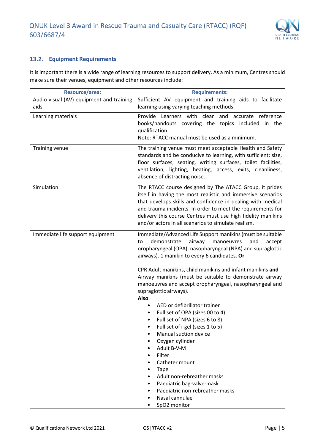

## <span id="page-5-0"></span>**Equipment Requirements**

It is important there is a wide range of learning resources to support delivery. As a minimum, Centres should make sure their venues, equipment and other resources include:

| Resource/area:                           | <b>Requirements:</b>                                                                                                                                                                                                                                                                                                                                                                                                                                                                                                                                                                                                                                                        |  |
|------------------------------------------|-----------------------------------------------------------------------------------------------------------------------------------------------------------------------------------------------------------------------------------------------------------------------------------------------------------------------------------------------------------------------------------------------------------------------------------------------------------------------------------------------------------------------------------------------------------------------------------------------------------------------------------------------------------------------------|--|
| Audio visual (AV) equipment and training | Sufficient AV equipment and training aids to facilitate                                                                                                                                                                                                                                                                                                                                                                                                                                                                                                                                                                                                                     |  |
| aids                                     | learning using varying teaching methods.                                                                                                                                                                                                                                                                                                                                                                                                                                                                                                                                                                                                                                    |  |
| Learning materials                       | Learners with clear and accurate reference<br>Provide<br>books/handouts covering the topics included in the<br>qualification.<br>Note: RTACC manual must be used as a minimum.                                                                                                                                                                                                                                                                                                                                                                                                                                                                                              |  |
| <b>Training venue</b>                    | The training venue must meet acceptable Health and Safety<br>standards and be conducive to learning, with sufficient: size,<br>floor surfaces, seating, writing surfaces, toilet facilities,<br>ventilation, lighting, heating, access, exits, cleanliness,<br>absence of distracting noise.                                                                                                                                                                                                                                                                                                                                                                                |  |
| Simulation                               | The RTACC course designed by The ATACC Group, it prides<br>itself in having the most realistic and immersive scenarios<br>that develops skills and confidence in dealing with medical<br>and trauma incidents. In order to meet the requirements for<br>delivery this course Centres must use high fidelity manikins<br>and/or actors in all scenarios to simulate realism.                                                                                                                                                                                                                                                                                                 |  |
| Immediate life support equipment         | Immediate/Advanced Life Support manikins (must be suitable<br>demonstrate<br>airway<br>manoeuvres<br>and<br>to<br>accept<br>oropharyngeal (OPA), nasopharyngeal (NPA) and supraglottic<br>airways). 1 manikin to every 6 candidates. Or<br>CPR Adult manikins, child manikins and infant manikins and<br>Airway manikins (must be suitable to demonstrate airway<br>manoeuvres and accept oropharyngeal, nasopharyngeal and<br>supraglottic airways).<br>Also<br>AED or defibrillator trainer<br>Full set of OPA (sizes 00 to 4)<br>Full set of NPA (sizes 6 to 8)<br>Full set of i-gel (sizes 1 to 5)<br>Manual suction device<br>Oxygen cylinder<br>Adult B-V-M<br>Filter |  |
|                                          | Catheter mount<br><b>Tape</b><br>Adult non-rebreather masks<br>Paediatric bag-valve-mask<br>Paediatric non-rebreather masks<br>Nasal cannulae<br>SpO2 monitor                                                                                                                                                                                                                                                                                                                                                                                                                                                                                                               |  |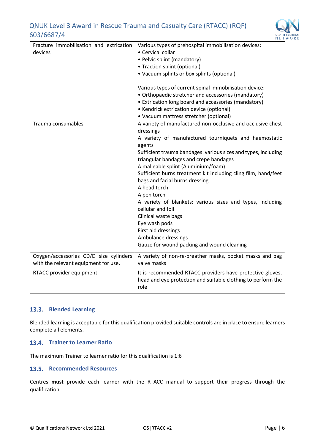

| Fracture immobilisation and extrication<br>devices                             | Various types of prehospital immobilisation devices:<br>• Cervical collar<br>• Pelvic splint (mandatory)<br>• Traction splint (optional)<br>• Vacuum splints or box splints (optional)<br>Various types of current spinal immobilisation device:<br>• Orthopaedic stretcher and accessories (mandatory)<br>• Extrication long board and accessories (mandatory)<br>• Kendrick extrication device (optional)<br>• Vacuum mattress stretcher (optional)                                                                                                                                                                                                   |
|--------------------------------------------------------------------------------|---------------------------------------------------------------------------------------------------------------------------------------------------------------------------------------------------------------------------------------------------------------------------------------------------------------------------------------------------------------------------------------------------------------------------------------------------------------------------------------------------------------------------------------------------------------------------------------------------------------------------------------------------------|
| Trauma consumables                                                             | A variety of manufactured non-occlusive and occlusive chest<br>dressings<br>A variety of manufactured tourniquets and haemostatic<br>agents<br>Sufficient trauma bandages: various sizes and types, including<br>triangular bandages and crepe bandages<br>A malleable splint (Aluminium/foam)<br>Sufficient burns treatment kit including cling film, hand/feet<br>bags and facial burns dressing<br>A head torch<br>A pen torch<br>A variety of blankets: various sizes and types, including<br>cellular and foil<br>Clinical waste bags<br>Eye wash pods<br>First aid dressings<br>Ambulance dressings<br>Gauze for wound packing and wound cleaning |
| Oxygen/accessories CD/D size cylinders<br>with the relevant equipment for use. | A variety of non-re-breather masks, pocket masks and bag<br>valve masks                                                                                                                                                                                                                                                                                                                                                                                                                                                                                                                                                                                 |
| RTACC provider equipment                                                       | It is recommended RTACC providers have protective gloves,<br>head and eye protection and suitable clothing to perform the<br>role                                                                                                                                                                                                                                                                                                                                                                                                                                                                                                                       |

#### <span id="page-6-0"></span>**Blended Learning**

Blended learning is acceptable for this qualification provided suitable controls are in place to ensure learners complete all elements.

#### <span id="page-6-1"></span>**13.4.** Trainer to Learner Ratio

The maximum Trainer to learner ratio for this qualification is 1:6

#### <span id="page-6-2"></span>**13.5. Recommended Resources**

Centres **must** provide each learner with the RTACC manual to support their progress through the qualification.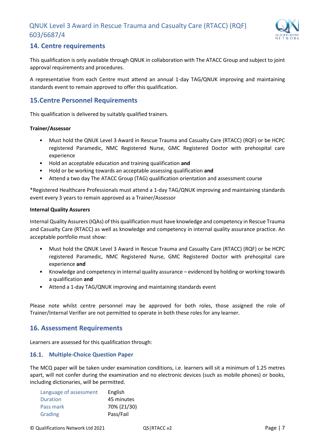

# <span id="page-7-0"></span>**14. Centre requirements**

This qualification is only available through QNUK in collaboration with The ATACC Group and subject to joint approval requirements and procedures.

A representative from each Centre must attend an annual 1-day TAG/QNUK improving and maintaining standards event to remain approved to offer this qualification.

## <span id="page-7-1"></span>**15.Centre Personnel Requirements**

This qualification is delivered by suitably qualified trainers.

#### **Trainer/Assessor**

- Must hold the QNUK Level 3 Award in Rescue Trauma and Casualty Care (RTACC) (RQF) or be HCPC registered Paramedic, NMC Registered Nurse, GMC Registered Doctor with prehospital care experience
- Hold an acceptable education and training qualification **and**
- Hold or be working towards an acceptable assessing qualification **and**
- Attend a two day The ATACC Group (TAG) qualification orientation and assessment course

\*Registered Healthcare Professionals must attend a 1-day TAG/QNUK improving and maintaining standards event every 3 years to remain approved as a Trainer/Assessor

#### **Internal Quality Assurers**

Internal Quality Assurers (IQAs) of this qualification must have knowledge and competency in Rescue Trauma and Casualty Care (RTACC) as well as knowledge and competency in internal quality assurance practice. An acceptable portfolio must show:

- Must hold the QNUK Level 3 Award in Rescue Trauma and Casualty Care (RTACC) (RQF) or be HCPC registered Paramedic, NMC Registered Nurse, GMC Registered Doctor with prehospital care experience **and**
- Knowledge and competency in internal quality assurance evidenced by holding or working towards a qualification **and**
- Attend a 1-day TAG/QNUK improving and maintaining standards event

Please note whilst centre personnel may be approved for both roles, those assigned the role of Trainer/Internal Verifier are not permitted to operate in both these roles for any learner.

#### <span id="page-7-2"></span>**16. Assessment Requirements**

Learners are assessed for this qualification through:

#### <span id="page-7-3"></span>**Multiple-Choice Question Paper**

The MCQ paper will be taken under examination conditions, i.e. learners will sit a minimum of 1.25 metres apart, will not confer during the examination and no electronic devices (such as mobile phones) or books, including dictionaries, will be permitted.

| Language of assessment | English     |
|------------------------|-------------|
| Duration               | 45 minutes  |
| Pass mark              | 70% (21/30) |
| Grading                | Pass/Fail   |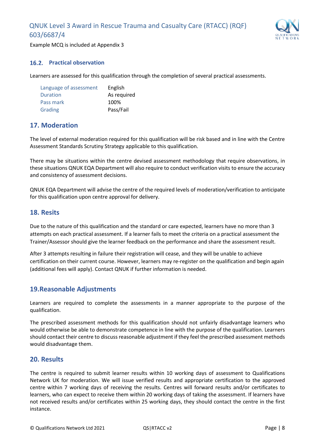

Example MCQ is included at Appendix 3

#### <span id="page-8-0"></span>**Practical observation**

Learners are assessed for this qualification through the completion of several practical assessments.

| Language of assessment | English     |
|------------------------|-------------|
| <b>Duration</b>        | As required |
| Pass mark              | 100%        |
| Grading                | Pass/Fail   |

# <span id="page-8-1"></span>**17. Moderation**

The level of external moderation required for this qualification will be risk based and in line with the Centre Assessment Standards Scrutiny Strategy applicable to this qualification.

There may be situations within the centre devised assessment methodology that require observations, in these situations QNUK EQA Department will also require to conduct verification visits to ensure the accuracy and consistency of assessment decisions.

QNUK EQA Department will advise the centre of the required levels of moderation/verification to anticipate for this qualification upon centre approval for delivery.

#### <span id="page-8-2"></span>**18. Resits**

Due to the nature of this qualification and the standard or care expected, learners have no more than 3 attempts on each practical assessment. If a learner fails to meet the criteria on a practical assessment the Trainer/Assessor should give the learner feedback on the performance and share the assessment result.

After 3 attempts resulting in failure their registration will cease, and they will be unable to achieve certification on their current course. However, learners may re-register on the qualification and begin again (additional fees will apply). Contact QNUK if further information is needed.

#### <span id="page-8-3"></span>**19.Reasonable Adjustments**

Learners are required to complete the assessments in a manner appropriate to the purpose of the qualification.

The prescribed assessment methods for this qualification should not unfairly disadvantage learners who would otherwise be able to demonstrate competence in line with the purpose of the qualification. Learners should contact their centre to discuss reasonable adjustment if they feel the prescribed assessment methods would disadvantage them.

#### <span id="page-8-4"></span>**20. Results**

The centre is required to submit learner results within 10 working days of assessment to Qualifications Network UK for moderation. We will issue verified results and appropriate certification to the approved centre within 7 working days of receiving the results. Centres will forward results and/or certificates to learners, who can expect to receive them within 20 working days of taking the assessment. If learners have not received results and/or certificates within 25 working days, they should contact the centre in the first instance.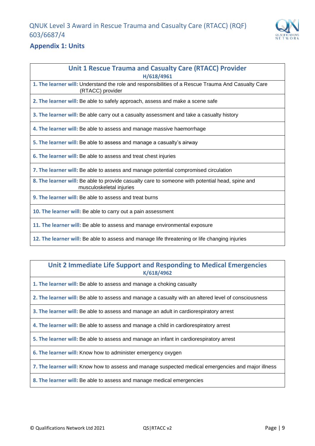

# <span id="page-9-0"></span>**Appendix 1: Units**

#### **Unit 1 Rescue Trauma and Casualty Care (RTACC) Provider H/618/4961**

**1. The learner will:** Understand the role and responsibilities of a Rescue Trauma And Casualty Care (RTACC) provider

**2. The learner will:** Be able to safely approach, assess and make a scene safe

**3. The learner will:** Be able carry out a casualty assessment and take a casualty history

**4. The learner will:** Be able to assess and manage massive haemorrhage

**5. The learner will:** Be able to assess and manage a casualty's airway

**6. The learner will:** Be able to assess and treat chest injuries

**7. The learner will:** Be able to assess and manage potential compromised circulation

**8. The learner will:** Be able to provide casualty care to someone with potential head, spine and musculoskeletal injuries

**9. The learner will:** Be able to assess and treat burns

**10. The learner will:** Be able to carry out a pain assessment

**11. The learner will:** Be able to assess and manage environmental exposure

**12. The learner will:** Be able to assess and manage life threatening or life changing injuries

## **Unit 2 Immediate Life Support and Responding to Medical Emergencies K/618/4962**

**1. The learner will:** Be able to assess and manage a choking casualty

**2. The learner will:** Be able to assess and manage a casualty with an altered level of consciousness

**3. The learner will:** Be able to assess and manage an adult in cardiorespiratory arrest

**4. The learner will:** Be able to assess and manage a child in cardiorespiratory arrest

**5. The learner will:** Be able to assess and manage an infant in cardiorespiratory arrest

**6. The learner will:** Know how to administer emergency oxygen

**7. The learner will:** Know how to assess and manage suspected medical emergencies and major illness

**8. The learner will:** Be able to assess and manage medical emergencies